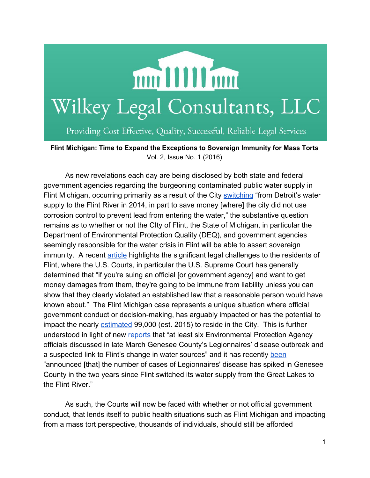

Providing Cost Effective, Quality, Successful, Reliable Legal Services

**Flint Michigan: Time to Expand the Exceptions to Sovereign Immunity for Mass Torts** Vol. 2, Issue No. 1 (2016)

As new revelations each day are being disclosed by both state and federal government agencies regarding the burgeoning contaminated public water supply in Flint Michigan, occurring primarily as a result of the City [switching](http://time.com/4191864/flint-water-crisis-lead-contaminated-michigan/) "from Detroit's water supply to the Flint River in 2014, in part to save money [where] the city did not use corrosion control to prevent lead from entering the water," the substantive question remains as to whether or not the CIty of Flint, the State of Michigan, in particular the Department of Environmental Protection Quality (DEQ), and government agencies seemingly responsible for the water crisis in Flint will be able to assert sovereign immunity. A recent [article](https://www.washingtonpost.com/news/the-fix/wp/2016/01/26/why-it-will-be-very-difficult-for-flint-residents-to-sue-the-state-of-michigan-for-money/) highlights the significant legal challenges to the residents of Flint, where the U.S. Courts, in particular the U.S. Supreme Court has generally determined that "if you're suing an official [or government agency] and want to get money damages from them, they're going to be immune from liability unless you can show that they clearly violated an established law that a reasonable person would have known about." The Flint Michigan case represents a unique situation where official government conduct or decision-making, has arguably impacted or has the potential to impact the nearly [estimated](http://quickfacts.census.gov/qfd/states/26/2629000.html) 99,000 (est. 2015) to reside in the City. This is further understood in light of new [reports](http://www.detroitnews.com/story/news/michigan/flint-water-crisis/2016/02/12/flint-legionnaire-disease-emails/80265486/) that "at least six Environmental Protection Agency officials discussed in late March Genesee County's Legionnaires' disease outbreak and a suspected link to Flint's change in water sources" and it has recently [been](http://www.cnn.com/2016/01/13/health/flint-michigan-water-crisis/) "announced [that] the number of cases of Legionnaires' disease has spiked in Genesee County in the two years since Flint switched its water supply from the Great Lakes to the Flint River."

As such, the Courts will now be faced with whether or not official government conduct, that lends itself to public health situations such as Flint Michigan and impacting from a mass tort perspective, thousands of individuals, should still be afforded